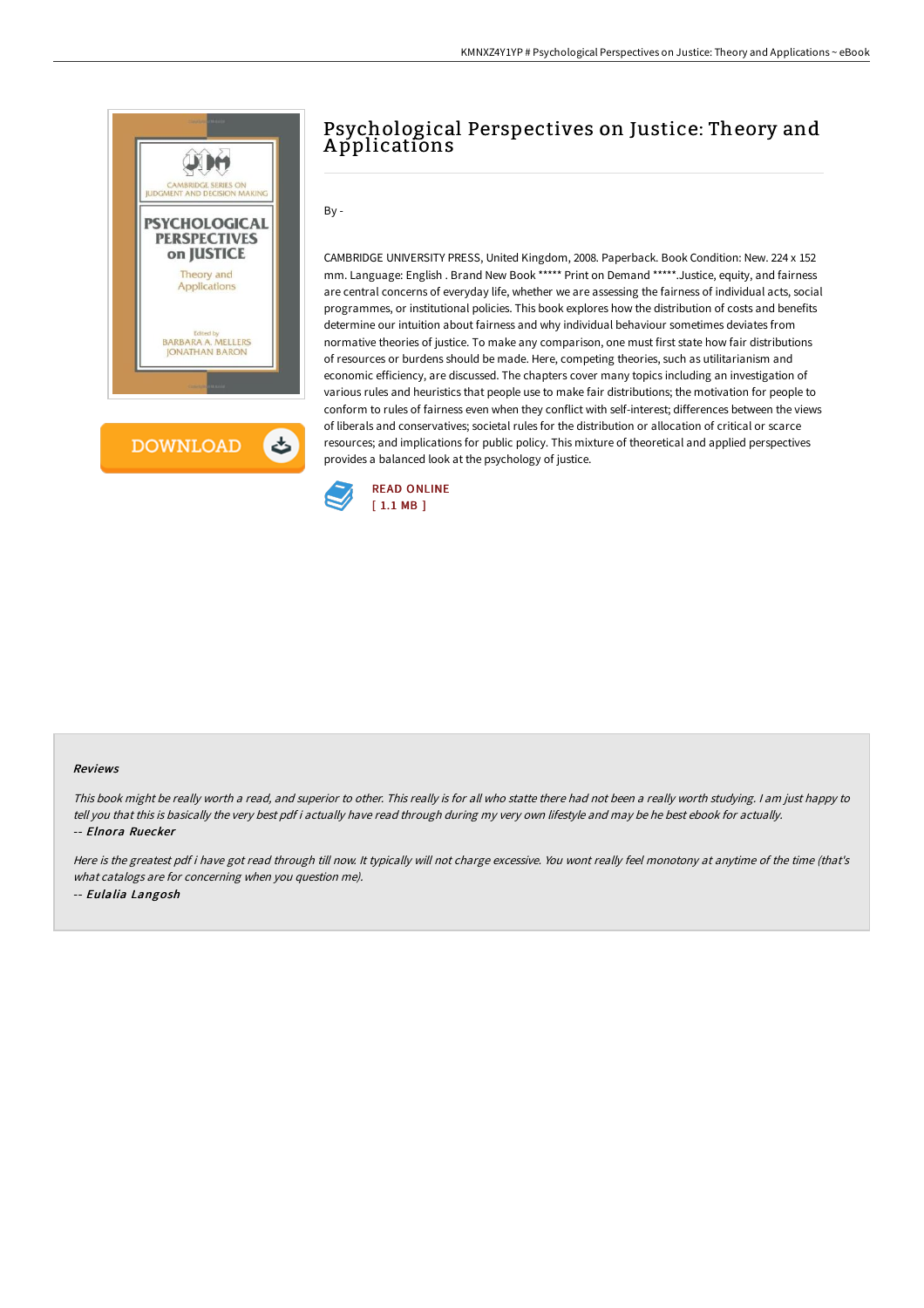

# Psychological Perspectives on Justice: Theory and A pplications

# $By -$

CAMBRIDGE UNIVERSITY PRESS, United Kingdom, 2008. Paperback. Book Condition: New. 224 x 152 mm. Language: English . Brand New Book \*\*\*\*\* Print on Demand \*\*\*\*\*.Justice, equity, and fairness are central concerns of everyday life, whether we are assessing the fairness of individual acts, social programmes, or institutional policies. This book explores how the distribution of costs and benefits determine our intuition about fairness and why individual behaviour sometimes deviates from normative theories of justice. To make any comparison, one must first state how fair distributions of resources or burdens should be made. Here, competing theories, such as utilitarianism and economic efficiency, are discussed. The chapters cover many topics including an investigation of various rules and heuristics that people use to make fair distributions; the motivation for people to conform to rules of fairness even when they conflict with self-interest; differences between the views of liberals and conservatives; societal rules for the distribution or allocation of critical or scarce resources; and implications for public policy. This mixture of theoretical and applied perspectives provides a balanced look at the psychology of justice.



#### Reviews

This book might be really worth <sup>a</sup> read, and superior to other. This really is for all who statte there had not been <sup>a</sup> really worth studying. <sup>I</sup> am just happy to tell you that this is basically the very best pdf i actually have read through during my very own lifestyle and may be he best ebook for actually. -- Elnora Ruecker

Here is the greatest pdf i have got read through till now. It typically will not charge excessive. You wont really feel monotony at anytime of the time (that's what catalogs are for concerning when you question me). -- Eulalia Langosh